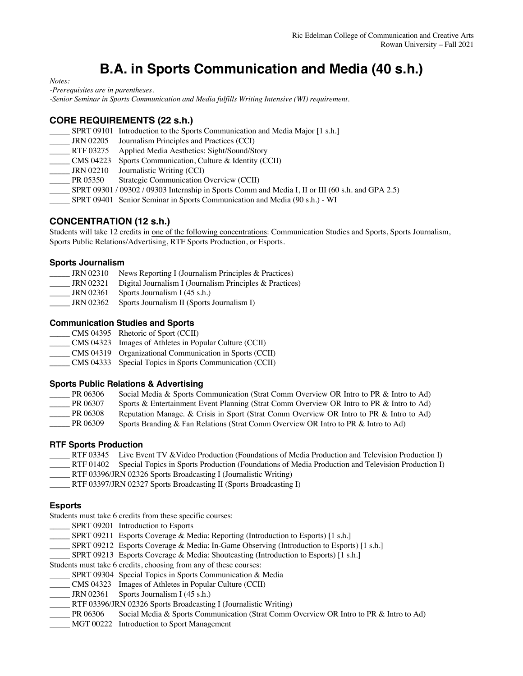# **B.A. in Sports Communication and Media (40 s.h.)**

*Notes:* 

*-Prerequisites are in parentheses.*

*-Senior Seminar in Sports Communication and Media fulfills Writing Intensive (WI) requirement.*

## **CORE REQUIREMENTS (22 s.h.)**

|  | SPRT 09101 Introduction to the Sports Communication and Media Major [1 s.h.] |  |
|--|------------------------------------------------------------------------------|--|
|  |                                                                              |  |

- \_\_\_\_\_ JRN 02205 Journalism Principles and Practices (CCI)
- \_\_\_\_\_ RTF 03275 Applied Media Aesthetics: Sight/Sound/Story
- \_\_\_\_\_ CMS 04223 Sports Communication, Culture & Identity (CCII)
- JRN 02210 Journalistic Writing (CCI)
- PR 05350 Strategic Communication Overview (CCII)
- \_\_\_\_\_ SPRT 09301 / 09302 / 09303 Internship in Sports Comm and Media I, II or III (60 s.h. and GPA 2.5)
- \_\_\_\_\_ SPRT 09401 Senior Seminar in Sports Communication and Media (90 s.h.) WI

# **CONCENTRATION (12 s.h.)**

Students will take 12 credits in one of the following concentrations: Communication Studies and Sports, Sports Journalism, Sports Public Relations/Advertising, RTF Sports Production, or Esports.

#### **Sports Journalism**

| <b>JRN 02310</b> | News Reporting I (Journalism Principles & Practices)       |
|------------------|------------------------------------------------------------|
| <b>JRN 02321</b> | Digital Journalism I (Journalism Principles $&$ Practices) |
| JRN 02361        | Sports Journalism I (45 s.h.)                              |
| JRN 02362        | Sports Journalism II (Sports Journalism I)                 |

#### **Communication Studies and Sports**

- \_\_\_\_\_ CMS 04395 Rhetoric of Sport (CCII)
- \_\_\_\_\_ CMS 04323 Images of Athletes in Popular Culture (CCII)
- \_\_\_\_\_ CMS 04319 Organizational Communication in Sports (CCII)
- \_\_\_\_\_ CMS 04333 Special Topics in Sports Communication (CCII)

#### **Sports Public Relations & Advertising**

| PR 06306 | Social Media & Sports Communication (Strat Comm Overview OR Intro to PR & Intro to Ad)   |
|----------|------------------------------------------------------------------------------------------|
| PR 06307 | Sports & Entertainment Event Planning (Strat Comm Overview OR Intro to PR & Intro to Ad) |
| PR 06308 | Reputation Manage. & Crisis in Sport (Strat Comm Overview OR Intro to PR & Intro to Ad)  |
| PR 06309 | Sports Branding & Fan Relations (Strat Comm Overview OR Intro to PR & Intro to Ad)       |

#### **RTF Sports Production**

- RTF 03345 Live Event TV & Video Production (Foundations of Media Production and Television Production I)
- \_\_\_\_\_ RTF 01402 Special Topics in Sports Production (Foundations of Media Production and Television Production I)
- \_\_\_\_\_ RTF 03396/JRN 02326 Sports Broadcasting I (Journalistic Writing)
- \_\_\_\_\_ RTF 03397/JRN 02327 Sports Broadcasting II (Sports Broadcasting I)

#### **Esports**

Students must take 6 credits from these specific courses:

- SPRT 09201 Introduction to Esports
- \_SPRT 09211 Esports Coverage & Media: Reporting (Introduction to Esports) [1 s.h.]
- SPRT 09212 Esports Coverage & Media: In-Game Observing (Introduction to Esports) [1 s.h.]
- SPRT 09213 Esports Coverage & Media: Shoutcasting (Introduction to Esports) [1 s.h.]

Students must take 6 credits, choosing from any of these courses:

- SPRT 09304 Special Topics in Sports Communication & Media
- \_\_\_\_\_ CMS 04323 Images of Athletes in Popular Culture (CCII)
- $\text{JRN }02361$  Sports Journalism I (45 s.h.)
- RTF 03396/JRN 02326 Sports Broadcasting I (Journalistic Writing)
- \_\_\_\_\_ PR 06306 Social Media & Sports Communication (Strat Comm Overview OR Intro to PR & Intro to Ad)
- \_\_\_\_\_ MGT 00222 Introduction to Sport Management